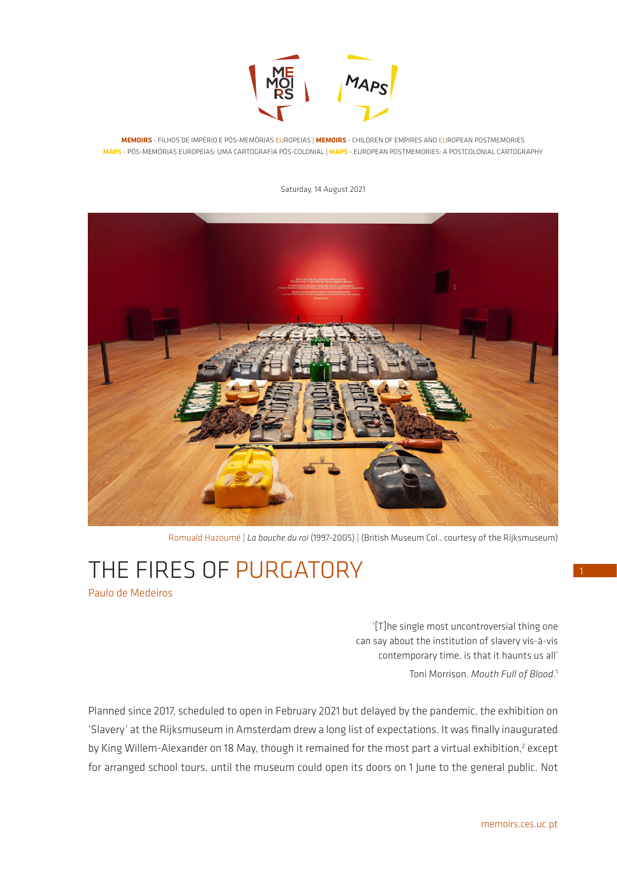

**MEMOIRS** - FILHOS DE IMPÉRIO E PÓS-MEMÓRIAS EUROPEIAS | **MEMOIRS** - CHILDREN OF EMPIRES AND EUROPEAN POSTMEMORIES **MAPS** - PÓS-MEMÓRIAS EUROPEIAS: UMA CARTOGRAFIA PÓS-COLONIAL | **MAPS** - EUROPEAN POSTMEMORIES: A POSTCOLONIAL CARTOGRAPHY

Saturday, 14 August 2021



Romuald Hazoumé | *La bouche du roi* (1997-2005) | (British Museum Col., courtesy of the Rijksmuseum)

# THE FIRES OF PURGATORY Paulo de Medeiros

'[T]he single most uncontroversial thing one can say about the institution of slavery vis-à-vis contemporary time, is that it haunts us all' Toni Morrison. *Mouth Full of Blood*. 1

Planned since 2017, scheduled to open in February 2021 but delayed by the pandemic, the exhibition on 'Slavery' at the Rijksmuseum in Amsterdam drew a long list of expectations. It was finally inaugurated by King Willem-Alexander on 18 May, though it remained for the most part a virtual exhibition,<sup>2</sup> except for arranged school tours, until the museum could open its doors on 1 June to the general public. Not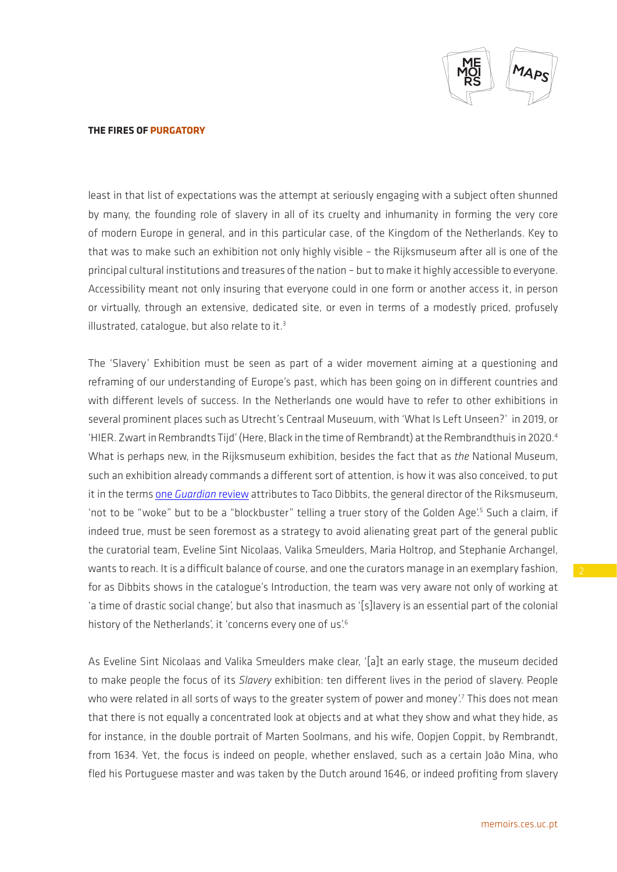

least in that list of expectations was the attempt at seriously engaging with a subject often shunned by many, the founding role of slavery in all of its cruelty and inhumanity in forming the very core of modern Europe in general, and in this particular case, of the Kingdom of the Netherlands. Key to that was to make such an exhibition not only highly visible – the Rijksmuseum after all is one of the principal cultural institutions and treasures of the nation – but to make it highly accessible to everyone. Accessibility meant not only insuring that everyone could in one form or another access it, in person or virtually, through an extensive, dedicated site, or even in terms of a modestly priced, profusely illustrated, catalogue, but also relate to it. $3$ 

The 'Slavery' Exhibition must be seen as part of a wider movement aiming at a questioning and reframing of our understanding of Europe's past, which has been going on in different countries and with different levels of success. In the Netherlands one would have to refer to other exhibitions in several prominent places such as Utrecht's Centraal Museuum, with 'What Is Left Unseen?' in 2019, or 'HIER. Zwart in Rembrandts Tijd' (Here, Black in the time of Rembrandt) at the Rembrandthuis in 2020.4 What is perhaps new, in the Rijksmuseum exhibition, besides the fact that as *the* National Museum, such an exhibition already commands a different sort of attention, is how it was also conceived, to put it in the terms one *[Guardian](https://www.theguardian.com/world/2021/may/18/rijksmuseum-slavery-exhibition-confronts-cruelty-of-dutch-trade)* review attributes to Taco Dibbits, the general director of the Riksmuseum, 'not to be "woke" but to be a "blockbuster" telling a truer story of the Golden Age'.<sup>5</sup> Such a claim, if indeed true, must be seen foremost as a strategy to avoid alienating great part of the general public the curatorial team, Eveline Sint Nicolaas, Valika Smeulders, Maria Holtrop, and Stephanie Archangel, wants to reach. It is a difficult balance of course, and one the curators manage in an exemplary fashion, for as Dibbits shows in the catalogue's Introduction, the team was very aware not only of working at 'a time of drastic social change', but also that inasmuch as '[s]lavery is an essential part of the colonial history of the Netherlands', it 'concerns every one of us'.<sup>6</sup>

As Eveline Sint Nicolaas and Valika Smeulders make clear, '[a]t an early stage, the museum decided to make people the focus of its *Slavery* exhibition: ten different lives in the period of slavery. People who were related in all sorts of ways to the greater system of power and money'.7 This does not mean that there is not equally a concentrated look at objects and at what they show and what they hide, as for instance, in the double portrait of Marten Soolmans, and his wife, Oopjen Coppit, by Rembrandt, from 1634. Yet, the focus is indeed on people, whether enslaved, such as a certain João Mina, who fled his Portuguese master and was taken by the Dutch around 1646, or indeed profiting from slavery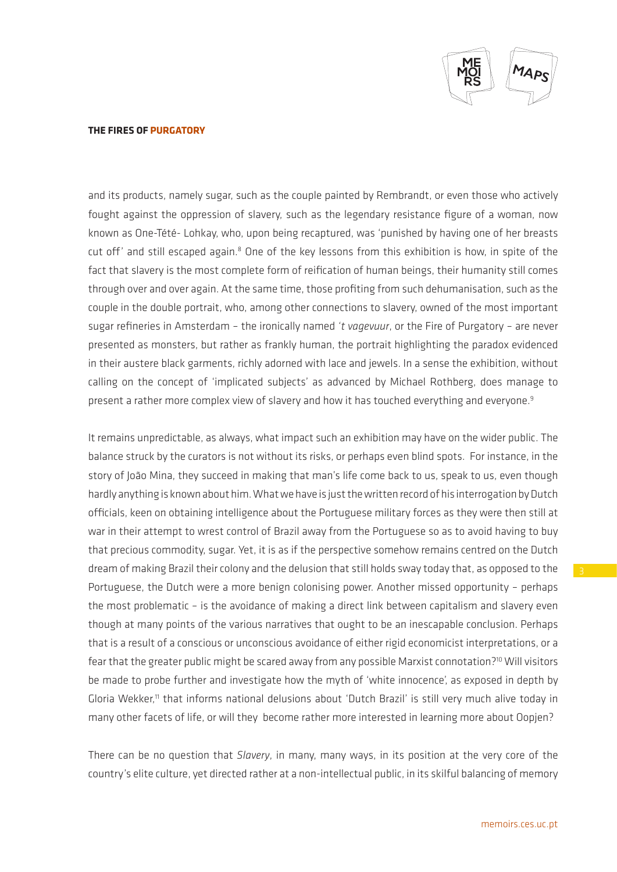

and its products, namely sugar, such as the couple painted by Rembrandt, or even those who actively fought against the oppression of slavery, such as the legendary resistance figure of a woman, now known as One-Tété- Lohkay, who, upon being recaptured, was 'punished by having one of her breasts cut off' and still escaped again.<sup>8</sup> One of the key lessons from this exhibition is how, in spite of the fact that slavery is the most complete form of reification of human beings, their humanity still comes through over and over again. At the same time, those profiting from such dehumanisation, such as the couple in the double portrait, who, among other connections to slavery, owned of the most important sugar refineries in Amsterdam – the ironically named *'t vagevuur*, or the Fire of Purgatory – are never presented as monsters, but rather as frankly human, the portrait highlighting the paradox evidenced in their austere black garments, richly adorned with lace and jewels. In a sense the exhibition, without calling on the concept of 'implicated subjects' as advanced by Michael Rothberg, does manage to present a rather more complex view of slavery and how it has touched everything and everyone.<sup>9</sup>

It remains unpredictable, as always, what impact such an exhibition may have on the wider public. The balance struck by the curators is not without its risks, or perhaps even blind spots. For instance, in the story of João Mina, they succeed in making that man's life come back to us, speak to us, even though hardly anything is known about him. What we have is just the written record of his interrogation by Dutch officials, keen on obtaining intelligence about the Portuguese military forces as they were then still at war in their attempt to wrest control of Brazil away from the Portuguese so as to avoid having to buy that precious commodity, sugar. Yet, it is as if the perspective somehow remains centred on the Dutch dream of making Brazil their colony and the delusion that still holds sway today that, as opposed to the Portuguese, the Dutch were a more benign colonising power. Another missed opportunity – perhaps the most problematic – is the avoidance of making a direct link between capitalism and slavery even though at many points of the various narratives that ought to be an inescapable conclusion. Perhaps that is a result of a conscious or unconscious avoidance of either rigid economicist interpretations, or a fear that the greater public might be scared away from any possible Marxist connotation?<sup>10</sup> Will visitors be made to probe further and investigate how the myth of 'white innocence', as exposed in depth by Gloria Wekker,<sup>11</sup> that informs national delusions about 'Dutch Brazil' is still very much alive today in many other facets of life, or will they become rather more interested in learning more about Oopjen?

There can be no question that *Slavery*, in many, many ways, in its position at the very core of the country's elite culture, yet directed rather at a non-intellectual public, in its skilful balancing of memory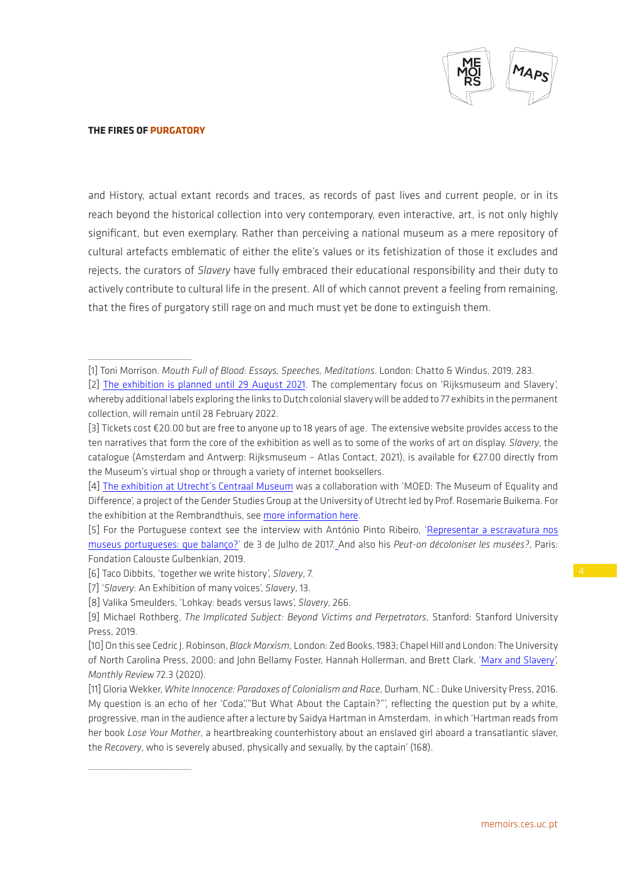

\_\_\_\_\_\_\_\_\_\_\_\_\_\_\_\_\_\_\_\_\_\_\_

 $\overline{\phantom{a}}$  , where  $\overline{\phantom{a}}$ 

and History, actual extant records and traces, as records of past lives and current people, or in its reach beyond the historical collection into very contemporary, even interactive, art, is not only highly significant, but even exemplary. Rather than perceiving a national museum as a mere repository of cultural artefacts emblematic of either the elite's values or its fetishization of those it excludes and rejects, the curators of *Slavery* have fully embraced their educational responsibility and their duty to actively contribute to cultural life in the present. All of which cannot prevent a feeling from remaining, that the fires of purgatory still rage on and much must yet be done to extinguish them.

[8] Valika Smeulders, 'Lohkay: beads versus laws', *Slavery*, 266.

<sup>[1]</sup> Toni Morrison. *Mouth Full of Blood: Essays, Speeches, Meditations*. London: Chatto & Windus, 2019, 283.

<sup>[2]</sup> [The exhibition is planned until 29 August 2021.](https://www.rijksmuseum.nl/en/whats-on/exhibitions/rijksmuseum-and-slavery) The complementary focus on 'Rijksmuseum and Slavery', whereby additional labels exploring the links to Dutch colonial slavery will be added to 77 exhibits in the permanent collection, will remain until 28 February 2022.

<sup>[3]</sup> Tickets cost €20.00 but are free to anyone up to 18 years of age. The extensive website provides access to the ten narratives that form the core of the exhibition as well as to some of the works of art on display. *Slavery*, the catalogue (Amsterdam and Antwerp: Rijksmuseum – Atlas Contact, 2021), is available for €27.00 directly from the Museum's virtual shop or through a variety of internet booksellers.

<sup>[4]</sup> [The exhibition at Utrecht's Centraal Museum](https://www.centraalmuseum.nl/en/exhibitions/moed-what-is-left-unseen) was a collaboration with 'MOED: The Museum of Equality and Difference', a project of the Gender Studies Group at the University of Utrecht led by Prof. Rosemarie Buikema. For the exhibition at the Rembrandthuis, see [more information here.](https://www.rembrandthuis.nl/nl/actueel/archief/hier-zwart-in-rembrandts-tijd/)

<sup>[5]</sup> For the Portuguese context see the interview with António Pinto Ribeiro, ['Representar a escravatura nos](https://nomundodosmuseus.hypotheses.org/7558)  [museus portugueses: que balanço?'](https://nomundodosmuseus.hypotheses.org/7558) de 3 de Julho de 2017. And also his *Peut-on décoloniser les musées?*, Paris: Fondation Calouste Gulbenkian, 2019.

<sup>[6]</sup> Taco Dibbits, 'together we write history', *Slavery*, 7.

<sup>[7] &#</sup>x27;*Slavery*: An Exhibition of many voices', *Slavery*, 13.

<sup>[9]</sup> Michael Rothberg, *The Implicated Subject: Beyond Victims and Perpetrators*, Stanford: Stanford University Press, 2019.

<sup>[10]</sup> On this see Cedric J. Robinson, *Black Marxism*, London: Zed Books, 1983; Chapel Hill and London: The University of North Carolina Press, 2000; and John Bellamy Foster, Hannah Hollerman, and Brett Clark, ['Marx and Slavery](https://monthlyreview.org/2020/07/01/marx-and-slavery/)', *Monthly Review* 72.3 (2020).

<sup>[11]</sup> Gloria Wekker, *White Innocence: Paradoxes of Colonialism and Race*, Durham, NC.: Duke University Press, 2016. My question is an echo of her 'Coda','"But What About the Captain?"', reflecting the question put by a white, progressive, man in the audience after a lecture by Saidya Hartman in Amsterdam, in which 'Hartman reads from her book *Lose Your Mother*, a heartbreaking counterhistory about an enslaved girl aboard a transatlantic slaver, the *Recovery*, who is severely abused, physically and sexually, by the captain' (168).